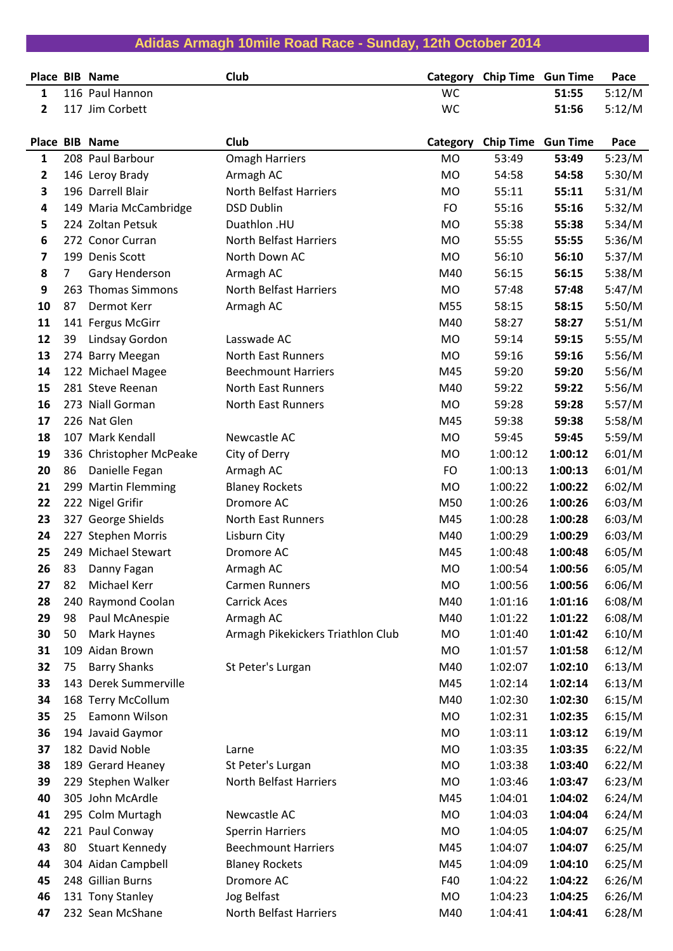|              |                | Place BIB Name          | Club                              | Category  | <b>Chip Time Gun Time</b> |         | Pace   |
|--------------|----------------|-------------------------|-----------------------------------|-----------|---------------------------|---------|--------|
| 1            |                | 116 Paul Hannon         |                                   | <b>WC</b> |                           | 51:55   | 5:12/M |
| $\mathbf{2}$ |                | 117 Jim Corbett         |                                   | <b>WC</b> |                           | 51:56   | 5:12/M |
|              |                |                         |                                   |           |                           |         |        |
|              |                | Place BIB Name          | Club                              | Category  | <b>Chip Time Gun Time</b> |         | Pace   |
| $\mathbf{1}$ |                | 208 Paul Barbour        | <b>Omagh Harriers</b>             | <b>MO</b> | 53:49                     | 53:49   | 5:23/M |
| 2            |                | 146 Leroy Brady         | Armagh AC                         | <b>MO</b> | 54:58                     | 54:58   | 5:30/M |
| 3            |                | 196 Darrell Blair       | <b>North Belfast Harriers</b>     | <b>MO</b> | 55:11                     | 55:11   | 5:31/M |
| 4            |                | 149 Maria McCambridge   | <b>DSD Dublin</b>                 | <b>FO</b> | 55:16                     | 55:16   | 5:32/M |
| 5            |                | 224 Zoltan Petsuk       | Duathlon .HU                      | <b>MO</b> | 55:38                     | 55:38   | 5:34/M |
| 6            |                | 272 Conor Curran        | <b>North Belfast Harriers</b>     | <b>MO</b> | 55:55                     | 55:55   | 5:36/M |
| 7            |                | 199 Denis Scott         | North Down AC                     | <b>MO</b> | 56:10                     | 56:10   | 5:37/M |
| 8            | $\overline{7}$ | Gary Henderson          | Armagh AC                         | M40       | 56:15                     | 56:15   | 5:38/M |
| 9            |                | 263 Thomas Simmons      | <b>North Belfast Harriers</b>     | <b>MO</b> | 57:48                     | 57:48   | 5:47/M |
| 10           | 87             | Dermot Kerr             | Armagh AC                         | M55       | 58:15                     | 58:15   | 5:50/M |
| 11           |                | 141 Fergus McGirr       |                                   | M40       | 58:27                     | 58:27   | 5:51/M |
| 12           | 39             | Lindsay Gordon          | Lasswade AC                       | <b>MO</b> | 59:14                     | 59:15   | 5:55/M |
| 13           |                | 274 Barry Meegan        | <b>North East Runners</b>         | <b>MO</b> | 59:16                     | 59:16   | 5:56/M |
| 14           |                | 122 Michael Magee       | <b>Beechmount Harriers</b>        | M45       | 59:20                     | 59:20   | 5:56/M |
| 15           |                | 281 Steve Reenan        | <b>North East Runners</b>         | M40       | 59:22                     | 59:22   | 5:56/M |
| 16           |                | 273 Niall Gorman        | North East Runners                | MO        | 59:28                     | 59:28   | 5:57/M |
| 17           |                | 226 Nat Glen            |                                   | M45       | 59:38                     | 59:38   | 5:58/M |
| 18           |                | 107 Mark Kendall        | Newcastle AC                      | <b>MO</b> | 59:45                     | 59:45   | 5:59/M |
| 19           |                | 336 Christopher McPeake | City of Derry                     | <b>MO</b> | 1:00:12                   | 1:00:12 | 6:01/M |
| 20           | 86             | Danielle Fegan          | Armagh AC                         | <b>FO</b> | 1:00:13                   | 1:00:13 | 6:01/M |
| 21           |                | 299 Martin Flemming     | <b>Blaney Rockets</b>             | <b>MO</b> | 1:00:22                   | 1:00:22 | 6:02/M |
| 22           |                | 222 Nigel Grifir        | Dromore AC                        | M50       | 1:00:26                   | 1:00:26 | 6:03/M |
| 23           |                | 327 George Shields      | <b>North East Runners</b>         | M45       | 1:00:28                   | 1:00:28 | 6:03/M |
| 24           |                | 227 Stephen Morris      | Lisburn City                      | M40       | 1:00:29                   | 1:00:29 | 6:03/M |
| 25           |                | 249 Michael Stewart     | Dromore AC                        | M45       | 1:00:48                   | 1:00:48 | 6:05/M |
| 26           | 83             | Danny Fagan             | Armagh AC                         | <b>MO</b> | 1:00:54                   | 1:00:56 | 6:05/M |
| 27           | 82             | Michael Kerr            | <b>Carmen Runners</b>             | <b>MO</b> | 1:00:56                   | 1:00:56 | 6:06/M |
| 28           | 240            | Raymond Coolan          | <b>Carrick Aces</b>               | M40       | 1:01:16                   | 1:01:16 | 6:08/M |
| 29           | 98             | Paul McAnespie          | Armagh AC                         | M40       | 1:01:22                   | 1:01:22 | 6:08/M |
| 30           | 50             | Mark Haynes             | Armagh Pikekickers Triathlon Club | MO        | 1:01:40                   | 1:01:42 | 6:10/M |
| 31           |                | 109 Aidan Brown         |                                   | MO        | 1:01:57                   | 1:01:58 | 6:12/M |
| 32           | 75             | <b>Barry Shanks</b>     | St Peter's Lurgan                 | M40       | 1:02:07                   | 1:02:10 | 6:13/M |
| 33           |                | 143 Derek Summerville   |                                   | M45       | 1:02:14                   | 1:02:14 | 6:13/M |
| 34           |                | 168 Terry McCollum      |                                   | M40       | 1:02:30                   | 1:02:30 | 6:15/M |
| 35           | 25             | Eamonn Wilson           |                                   | MO        | 1:02:31                   | 1:02:35 | 6:15/M |
| 36           |                | 194 Javaid Gaymor       |                                   | MO        | 1:03:11                   | 1:03:12 | 6:19/M |
| 37           |                | 182 David Noble         | Larne                             | MO        | 1:03:35                   | 1:03:35 | 6:22/M |
| 38           |                | 189 Gerard Heaney       | St Peter's Lurgan                 | MO        | 1:03:38                   | 1:03:40 | 6:22/M |
| 39           |                | 229 Stephen Walker      | North Belfast Harriers            | MO        | 1:03:46                   | 1:03:47 | 6:23/M |
| 40           |                | 305 John McArdle        |                                   | M45       | 1:04:01                   | 1:04:02 | 6:24/M |
| 41           |                | 295 Colm Murtagh        | Newcastle AC                      | MO        | 1:04:03                   | 1:04:04 | 6:24/M |
| 42           |                | 221 Paul Conway         | <b>Sperrin Harriers</b>           | MO        | 1:04:05                   | 1:04:07 | 6:25/M |
| 43           | 80             | <b>Stuart Kennedy</b>   | <b>Beechmount Harriers</b>        | M45       | 1:04:07                   | 1:04:07 | 6:25/M |
| 44           |                | 304 Aidan Campbell      | <b>Blaney Rockets</b>             | M45       | 1:04:09                   | 1:04:10 | 6:25/M |
| 45           |                | 248 Gillian Burns       | Dromore AC                        | F40       | 1:04:22                   | 1:04:22 | 6:26/M |
| 46           |                | 131 Tony Stanley        | Jog Belfast                       | <b>MO</b> | 1:04:23                   | 1:04:25 | 6:26/M |
| 47           |                | 232 Sean McShane        | North Belfast Harriers            | M40       | 1:04:41                   | 1:04:41 | 6:28/M |

**Adidas Armagh 10mile Road Race - Sunday, 12th October 2014**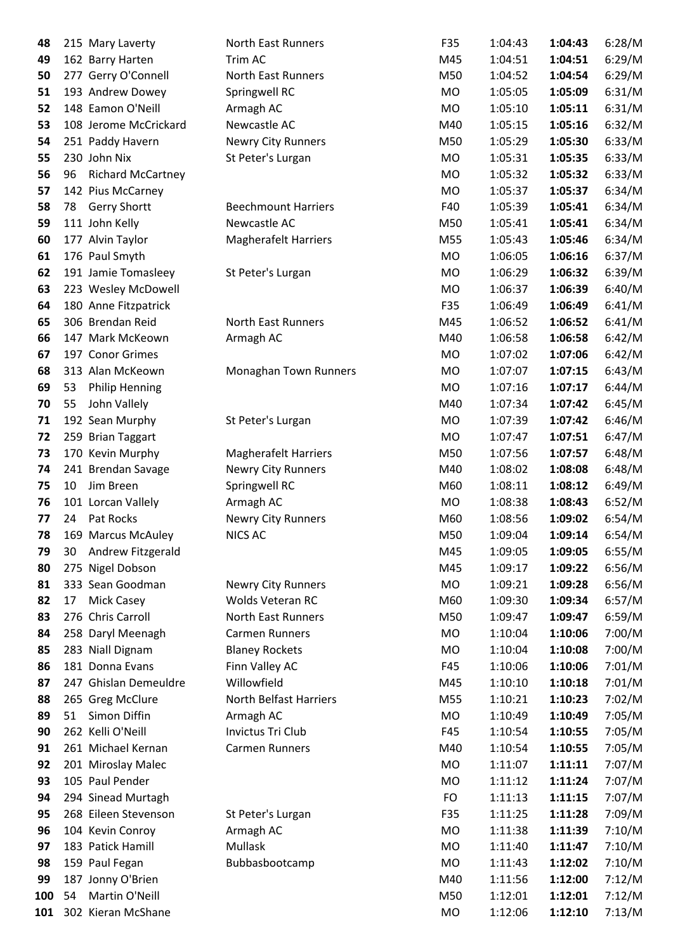| 48  |    | 215 Mary Laverty      | North East Runners          | F35       | 1:04:43 | 1:04:43 | 6:28/M |
|-----|----|-----------------------|-----------------------------|-----------|---------|---------|--------|
| 49  |    | 162 Barry Harten      | Trim AC                     | M45       | 1:04:51 | 1:04:51 | 6:29/M |
| 50  |    | 277 Gerry O'Connell   | <b>North East Runners</b>   | M50       | 1:04:52 | 1:04:54 | 6:29/M |
| 51  |    | 193 Andrew Dowey      | Springwell RC               | MO        | 1:05:05 | 1:05:09 | 6:31/M |
| 52  |    | 148 Eamon O'Neill     | Armagh AC                   | <b>MO</b> | 1:05:10 | 1:05:11 | 6:31/M |
| 53  |    | 108 Jerome McCrickard | Newcastle AC                | M40       | 1:05:15 | 1:05:16 | 6:32/M |
| 54  |    | 251 Paddy Havern      | Newry City Runners          | M50       | 1:05:29 | 1:05:30 | 6:33/M |
| 55  |    | 230 John Nix          | St Peter's Lurgan           | MO        | 1:05:31 | 1:05:35 | 6:33/M |
| 56  | 96 | Richard McCartney     |                             | MO        | 1:05:32 | 1:05:32 | 6:33/M |
| 57  |    | 142 Pius McCarney     |                             | MO        | 1:05:37 | 1:05:37 | 6:34/M |
| 58  | 78 | <b>Gerry Shortt</b>   | <b>Beechmount Harriers</b>  | F40       | 1:05:39 | 1:05:41 | 6:34/M |
| 59  |    | 111 John Kelly        | Newcastle AC                | M50       | 1:05:41 | 1:05:41 | 6:34/M |
| 60  |    | 177 Alvin Taylor      | <b>Magherafelt Harriers</b> | M55       | 1:05:43 | 1:05:46 | 6:34/M |
| 61  |    | 176 Paul Smyth        |                             | <b>MO</b> | 1:06:05 | 1:06:16 | 6:37/M |
| 62  |    | 191 Jamie Tomasleey   | St Peter's Lurgan           | MO        | 1:06:29 | 1:06:32 | 6:39/M |
| 63  |    | 223 Wesley McDowell   |                             | MO        | 1:06:37 | 1:06:39 | 6:40/M |
| 64  |    | 180 Anne Fitzpatrick  |                             | F35       | 1:06:49 | 1:06:49 | 6:41/M |
| 65  |    | 306 Brendan Reid      | <b>North East Runners</b>   | M45       | 1:06:52 | 1:06:52 | 6:41/M |
| 66  |    | 147 Mark McKeown      | Armagh AC                   | M40       | 1:06:58 | 1:06:58 | 6:42/M |
| 67  |    | 197 Conor Grimes      |                             | MO        | 1:07:02 | 1:07:06 | 6:42/M |
| 68  |    | 313 Alan McKeown      | Monaghan Town Runners       | MO        | 1:07:07 | 1:07:15 | 6:43/M |
| 69  | 53 | <b>Philip Henning</b> |                             | <b>MO</b> | 1:07:16 | 1:07:17 | 6:44/M |
| 70  | 55 | John Vallely          |                             | M40       | 1:07:34 | 1:07:42 | 6:45/M |
| 71  |    | 192 Sean Murphy       | St Peter's Lurgan           | <b>MO</b> | 1:07:39 | 1:07:42 | 6:46/M |
| 72  |    | 259 Brian Taggart     |                             | <b>MO</b> | 1:07:47 | 1:07:51 | 6:47/M |
| 73  |    | 170 Kevin Murphy      | <b>Magherafelt Harriers</b> | M50       | 1:07:56 | 1:07:57 | 6:48/M |
| 74  |    | 241 Brendan Savage    | <b>Newry City Runners</b>   | M40       | 1:08:02 | 1:08:08 | 6:48/M |
| 75  | 10 | Jim Breen             | Springwell RC               | M60       | 1:08:11 | 1:08:12 | 6:49/M |
| 76  |    | 101 Lorcan Vallely    | Armagh AC                   | MO        | 1:08:38 | 1:08:43 | 6:52/M |
| 77  | 24 | Pat Rocks             | Newry City Runners          | M60       | 1:08:56 | 1:09:02 | 6:54/M |
| 78  |    | 169 Marcus McAuley    | <b>NICS AC</b>              | M50       | 1:09:04 | 1:09:14 | 6:54/M |
| 79  | 30 | Andrew Fitzgerald     |                             | M45       | 1:09:05 | 1:09:05 | 6:55/M |
| 80  |    | 275 Nigel Dobson      |                             | M45       | 1:09:17 | 1:09:22 | 6:56/M |
| 81  |    | 333 Sean Goodman      | <b>Newry City Runners</b>   | MO        | 1:09:21 | 1:09:28 | 6:56/M |
| 82  | 17 | Mick Casey            | Wolds Veteran RC            | M60       | 1:09:30 | 1:09:34 | 6:57/M |
| 83  |    | 276 Chris Carroll     | <b>North East Runners</b>   | M50       | 1:09:47 | 1:09:47 | 6:59/M |
| 84  |    | 258 Daryl Meenagh     | <b>Carmen Runners</b>       | MO        | 1:10:04 | 1:10:06 | 7:00/M |
| 85  |    | 283 Niall Dignam      | <b>Blaney Rockets</b>       | <b>MO</b> | 1:10:04 | 1:10:08 | 7:00/M |
| 86  |    | 181 Donna Evans       | Finn Valley AC              | F45       | 1:10:06 | 1:10:06 | 7:01/M |
| 87  |    | 247 Ghislan Demeuldre | Willowfield                 | M45       | 1:10:10 | 1:10:18 | 7:01/M |
| 88  |    | 265 Greg McClure      | North Belfast Harriers      | M55       | 1:10:21 | 1:10:23 | 7:02/M |
| 89  | 51 | Simon Diffin          | Armagh AC                   | MO        | 1:10:49 | 1:10:49 | 7:05/M |
| 90  |    | 262 Kelli O'Neill     | Invictus Tri Club           | F45       | 1:10:54 | 1:10:55 | 7:05/M |
| 91  |    | 261 Michael Kernan    | Carmen Runners              | M40       | 1:10:54 | 1:10:55 | 7:05/M |
| 92  |    | 201 Miroslay Malec    |                             | <b>MO</b> | 1:11:07 | 1:11:11 | 7:07/M |
| 93  |    | 105 Paul Pender       |                             | MO        | 1:11:12 | 1:11:24 | 7:07/M |
| 94  |    | 294 Sinead Murtagh    |                             | FO        | 1:11:13 | 1:11:15 | 7:07/M |
| 95  |    | 268 Eileen Stevenson  | St Peter's Lurgan           | F35       | 1:11:25 | 1:11:28 | 7:09/M |
| 96  |    | 104 Kevin Conroy      | Armagh AC                   | MO        | 1:11:38 | 1:11:39 | 7:10/M |
| 97  |    | 183 Patick Hamill     | Mullask                     | <b>MO</b> | 1:11:40 | 1:11:47 | 7:10/M |
| 98  |    | 159 Paul Fegan        | Bubbasbootcamp              | MO        | 1:11:43 | 1:12:02 | 7:10/M |
| 99  |    | 187 Jonny O'Brien     |                             | M40       | 1:11:56 | 1:12:00 | 7:12/M |
| 100 | 54 | Martin O'Neill        |                             | M50       | 1:12:01 | 1:12:01 | 7:12/M |
| 101 |    | 302 Kieran McShane    |                             | MO        | 1:12:06 | 1:12:10 | 7:13/M |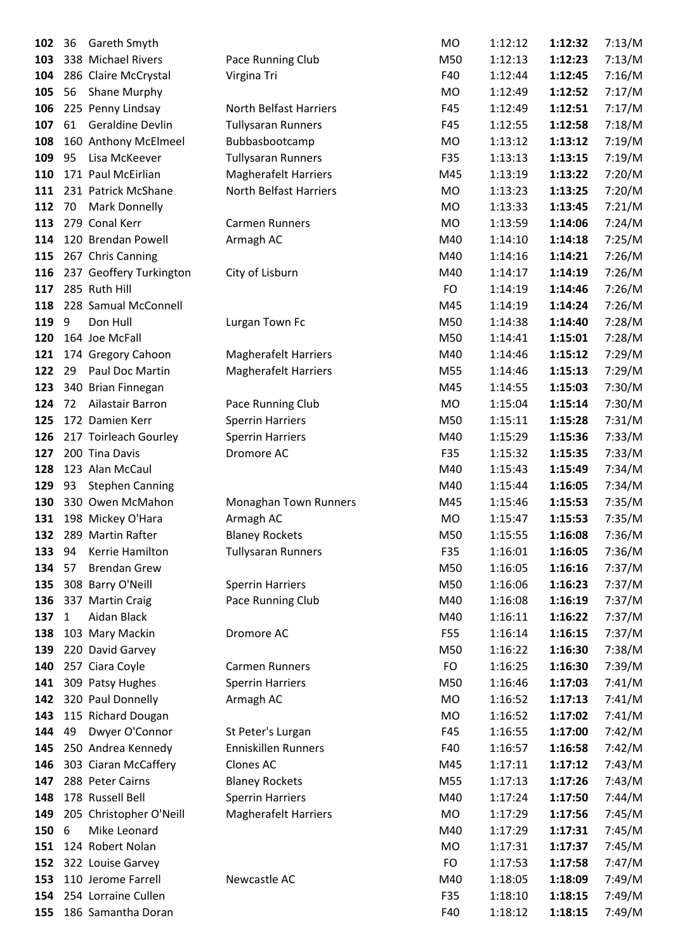| 102        | 36           | <b>Gareth Smyth</b>                      |                                          | <b>MO</b>  | 1:12:12 | 1:12:32 | 7:13/M |
|------------|--------------|------------------------------------------|------------------------------------------|------------|---------|---------|--------|
| 103        |              | 338 Michael Rivers                       | Pace Running Club                        | M50        | 1:12:13 | 1:12:23 | 7:13/M |
| 104        |              | 286 Claire McCrystal                     | Virgina Tri                              | F40        | 1:12:44 | 1:12:45 | 7:16/M |
| 105        | 56           | <b>Shane Murphy</b>                      |                                          | MO         | 1:12:49 | 1:12:52 | 7:17/M |
| 106        |              | 225 Penny Lindsay                        | North Belfast Harriers                   | F45        | 1:12:49 | 1:12:51 | 7:17/M |
| 107        | 61           | <b>Geraldine Devlin</b>                  | <b>Tullysaran Runners</b>                | F45        | 1:12:55 | 1:12:58 | 7:18/M |
| 108        |              | 160 Anthony McElmeel                     | Bubbasbootcamp                           | MO         | 1:13:12 | 1:13:12 | 7:19/M |
| 109        | 95           | Lisa McKeever                            | <b>Tullysaran Runners</b>                | F35        | 1:13:13 | 1:13:15 | 7:19/M |
| 110        |              | 171 Paul McEirlian                       | Magherafelt Harriers                     | M45        | 1:13:19 | 1:13:22 | 7:20/M |
| 111        |              | 231 Patrick McShane                      | North Belfast Harriers                   | <b>MO</b>  | 1:13:23 | 1:13:25 | 7:20/M |
| 112        | 70           | <b>Mark Donnelly</b>                     |                                          | MO         | 1:13:33 | 1:13:45 | 7:21/M |
| 113        |              | 279 Conal Kerr                           | <b>Carmen Runners</b>                    | MO         | 1:13:59 | 1:14:06 | 7:24/M |
| 114        |              | 120 Brendan Powell                       | Armagh AC                                | M40        | 1:14:10 | 1:14:18 | 7:25/M |
| 115        |              | 267 Chris Canning                        |                                          | M40        | 1:14:16 | 1:14:21 | 7:26/M |
| 116        |              | 237 Geoffery Turkington                  | City of Lisburn                          | M40        | 1:14:17 | 1:14:19 | 7:26/M |
| 117        |              | 285 Ruth Hill                            |                                          | FO         | 1:14:19 | 1:14:46 | 7:26/M |
| 118        |              | 228 Samual McConnell                     |                                          | M45        | 1:14:19 | 1:14:24 | 7:26/M |
| 119        | 9            | Don Hull                                 | Lurgan Town Fc                           | M50        | 1:14:38 | 1:14:40 | 7:28/M |
| 120        |              | 164 Joe McFall                           |                                          | M50        | 1:14:41 | 1:15:01 | 7:28/M |
| 121        |              | 174 Gregory Cahoon                       | <b>Magherafelt Harriers</b>              | M40        | 1:14:46 | 1:15:12 | 7:29/M |
| 122        | 29           | Paul Doc Martin                          | <b>Magherafelt Harriers</b>              | M55        | 1:14:46 | 1:15:13 | 7:29/M |
| 123        |              | 340 Brian Finnegan                       |                                          | M45        | 1:14:55 | 1:15:03 | 7:30/M |
| 124        | 72           | Ailastair Barron                         | Pace Running Club                        | MO         | 1:15:04 | 1:15:14 | 7:30/M |
| 125        |              | 172 Damien Kerr                          | <b>Sperrin Harriers</b>                  | M50        | 1:15:11 | 1:15:28 | 7:31/M |
| 126        |              | 217 Toirleach Gourley                    | <b>Sperrin Harriers</b>                  | M40        | 1:15:29 | 1:15:36 | 7:33/M |
| 127        |              | 200 Tina Davis                           | Dromore AC                               | F35        | 1:15:32 | 1:15:35 | 7:33/M |
| 128        |              | 123 Alan McCaul                          |                                          | M40        | 1:15:43 | 1:15:49 | 7:34/M |
| 129        | 93           | <b>Stephen Canning</b>                   |                                          | M40        | 1:15:44 | 1:16:05 | 7:34/M |
| 130        |              | 330 Owen McMahon                         | Monaghan Town Runners                    | M45        | 1:15:46 | 1:15:53 | 7:35/M |
| 131        |              | 198 Mickey O'Hara                        | Armagh AC                                | MO         | 1:15:47 | 1:15:53 | 7:35/M |
|            |              | 132 289 Martin Rafter                    | <b>Blaney Rockets</b>                    | M50        | 1:15:55 | 1:16:08 | 7:36/M |
| 133        | 94           | Kerrie Hamilton                          | <b>Tullysaran Runners</b>                | F35        | 1:16:01 | 1:16:05 | 7:36/M |
| 134 57     |              | <b>Brendan Grew</b>                      |                                          | M50        | 1:16:05 | 1:16:16 | 7:37/M |
| 135        |              | 308 Barry O'Neill                        | <b>Sperrin Harriers</b>                  | M50        | 1:16:06 | 1:16:23 | 7:37/M |
| 136        |              | 337 Martin Craig                         | Pace Running Club                        | M40        | 1:16:08 | 1:16:19 | 7:37/M |
| 137        | $\mathbf{1}$ | Aidan Black                              |                                          | M40        | 1:16:11 | 1:16:22 | 7:37/M |
| 138        |              | 103 Mary Mackin                          | Dromore AC                               | F55        | 1:16:14 | 1:16:15 | 7:37/M |
| 139        |              | 220 David Garvey                         |                                          | M50        | 1:16:22 | 1:16:30 | 7:38/M |
| 140        |              | 257 Ciara Coyle                          | Carmen Runners                           | <b>FO</b>  | 1:16:25 | 1:16:30 | 7:39/M |
| 141        |              | 309 Patsy Hughes                         | <b>Sperrin Harriers</b>                  | M50        | 1:16:46 | 1:17:03 | 7:41/M |
| 142        |              | 320 Paul Donnelly                        | Armagh AC                                | MO         | 1:16:52 | 1:17:13 | 7:41/M |
| 143        |              | 115 Richard Dougan                       |                                          | MO         | 1:16:52 | 1:17:02 | 7:41/M |
| 144        | 49           | Dwyer O'Connor                           |                                          | F45        | 1:16:55 | 1:17:00 | 7:42/M |
| 145        |              | 250 Andrea Kennedy                       | St Peter's Lurgan<br>Enniskillen Runners | F40        | 1:16:57 | 1:16:58 | 7:42/M |
|            |              |                                          |                                          |            |         |         |        |
| 146<br>147 |              | 303 Ciaran McCaffery<br>288 Peter Cairns | Clones AC                                | M45<br>M55 | 1:17:11 | 1:17:12 | 7:43/M |
|            |              |                                          | <b>Blaney Rockets</b>                    |            | 1:17:13 | 1:17:26 | 7:43/M |
| 148        |              | 178 Russell Bell                         | <b>Sperrin Harriers</b>                  | M40        | 1:17:24 | 1:17:50 | 7:44/M |
| 149        |              | 205 Christopher O'Neill                  | <b>Magherafelt Harriers</b>              | <b>MO</b>  | 1:17:29 | 1:17:56 | 7:45/M |
| 150        | 6            | Mike Leonard                             |                                          | M40        | 1:17:29 | 1:17:31 | 7:45/M |
| 151        |              | 124 Robert Nolan                         |                                          | MO         | 1:17:31 | 1:17:37 | 7:45/M |
| 152        |              | 322 Louise Garvey                        |                                          | <b>FO</b>  | 1:17:53 | 1:17:58 | 7:47/M |
| 153        |              | 110 Jerome Farrell                       | Newcastle AC                             | M40        | 1:18:05 | 1:18:09 | 7:49/M |
| 154        |              | 254 Lorraine Cullen                      |                                          | F35        | 1:18:10 | 1:18:15 | 7:49/M |
| 155        |              | 186 Samantha Doran                       |                                          | F40        | 1:18:12 | 1:18:15 | 7:49/M |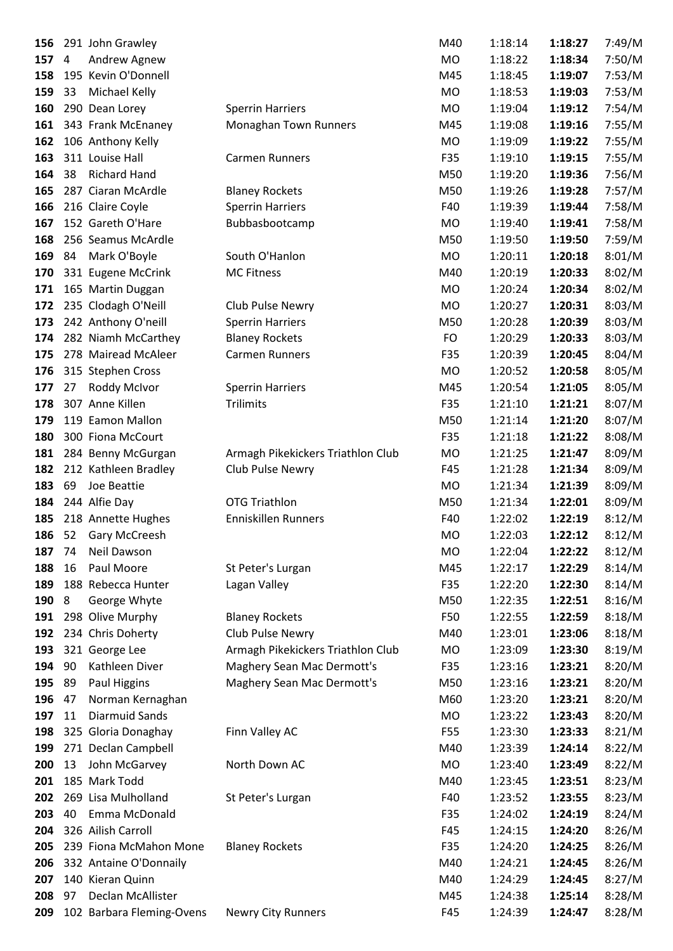| 156 |    | 291 John Grawley          |                                   | M40       | 1:18:14 | 1:18:27 | 7:49/M |
|-----|----|---------------------------|-----------------------------------|-----------|---------|---------|--------|
| 157 | 4  | Andrew Agnew              |                                   | <b>MO</b> | 1:18:22 | 1:18:34 | 7:50/M |
| 158 |    | 195 Kevin O'Donnell       |                                   | M45       | 1:18:45 | 1:19:07 | 7:53/M |
| 159 | 33 | Michael Kelly             |                                   | MO        | 1:18:53 | 1:19:03 | 7:53/M |
| 160 |    | 290 Dean Lorey            | <b>Sperrin Harriers</b>           | <b>MO</b> | 1:19:04 | 1:19:12 | 7:54/M |
| 161 |    | 343 Frank McEnaney        | Monaghan Town Runners             | M45       | 1:19:08 | 1:19:16 | 7:55/M |
| 162 |    | 106 Anthony Kelly         |                                   | MO        | 1:19:09 | 1:19:22 | 7:55/M |
| 163 |    | 311 Louise Hall           | <b>Carmen Runners</b>             | F35       | 1:19:10 | 1:19:15 | 7:55/M |
| 164 | 38 | <b>Richard Hand</b>       |                                   | M50       | 1:19:20 | 1:19:36 | 7:56/M |
| 165 |    | 287 Ciaran McArdle        | <b>Blaney Rockets</b>             | M50       | 1:19:26 | 1:19:28 | 7:57/M |
| 166 |    | 216 Claire Coyle          | <b>Sperrin Harriers</b>           | F40       | 1:19:39 | 1:19:44 | 7:58/M |
| 167 |    | 152 Gareth O'Hare         | Bubbasbootcamp                    | <b>MO</b> | 1:19:40 | 1:19:41 | 7:58/M |
| 168 |    | 256 Seamus McArdle        |                                   | M50       | 1:19:50 | 1:19:50 | 7:59/M |
| 169 | 84 | Mark O'Boyle              | South O'Hanlon                    | <b>MO</b> | 1:20:11 | 1:20:18 | 8:01/M |
| 170 |    | 331 Eugene McCrink        | <b>MC Fitness</b>                 | M40       | 1:20:19 | 1:20:33 | 8:02/M |
| 171 |    | 165 Martin Duggan         |                                   | MO        | 1:20:24 | 1:20:34 | 8:02/M |
| 172 |    | 235 Clodagh O'Neill       | Club Pulse Newry                  | <b>MO</b> | 1:20:27 | 1:20:31 | 8:03/M |
| 173 |    | 242 Anthony O'neill       | <b>Sperrin Harriers</b>           | M50       | 1:20:28 | 1:20:39 | 8:03/M |
| 174 |    | 282 Niamh McCarthey       | <b>Blaney Rockets</b>             | FO        | 1:20:29 | 1:20:33 | 8:03/M |
| 175 |    | 278 Mairead McAleer       | <b>Carmen Runners</b>             | F35       | 1:20:39 | 1:20:45 | 8:04/M |
| 176 |    | 315 Stephen Cross         |                                   | MO        | 1:20:52 | 1:20:58 | 8:05/M |
| 177 | 27 | Roddy McIvor              | <b>Sperrin Harriers</b>           | M45       | 1:20:54 | 1:21:05 | 8:05/M |
| 178 |    | 307 Anne Killen           | Trilimits                         | F35       | 1:21:10 | 1:21:21 | 8:07/M |
| 179 |    | 119 Eamon Mallon          |                                   | M50       | 1:21:14 | 1:21:20 | 8:07/M |
| 180 |    | 300 Fiona McCourt         |                                   | F35       | 1:21:18 | 1:21:22 | 8:08/M |
| 181 |    | 284 Benny McGurgan        | Armagh Pikekickers Triathlon Club | MO        | 1:21:25 | 1:21:47 | 8:09/M |
| 182 |    | 212 Kathleen Bradley      | Club Pulse Newry                  | F45       | 1:21:28 | 1:21:34 | 8:09/M |
| 183 | 69 | Joe Beattie               |                                   | MO        | 1:21:34 | 1:21:39 | 8:09/M |
| 184 |    | 244 Alfie Day             | <b>OTG Triathlon</b>              | M50       | 1:21:34 | 1:22:01 | 8:09/M |
| 185 |    | 218 Annette Hughes        | Enniskillen Runners               | F40       | 1:22:02 | 1:22:19 | 8:12/M |
| 186 | 52 | Gary McCreesh             |                                   | <b>MO</b> | 1:22:03 | 1:22:12 | 8:12/M |
| 187 | 74 | Neil Dawson               |                                   | MO        | 1:22:04 | 1:22:22 | 8:12/M |
| 188 | 16 | Paul Moore                | St Peter's Lurgan                 | M45       | 1:22:17 | 1:22:29 | 8:14/M |
| 189 |    | 188 Rebecca Hunter        | Lagan Valley                      | F35       | 1:22:20 | 1:22:30 | 8:14/M |
| 190 | 8  | George Whyte              |                                   | M50       | 1:22:35 | 1:22:51 | 8:16/M |
| 191 |    | 298 Olive Murphy          | <b>Blaney Rockets</b>             | F50       | 1:22:55 | 1:22:59 | 8:18/M |
| 192 |    | 234 Chris Doherty         | Club Pulse Newry                  | M40       | 1:23:01 | 1:23:06 | 8:18/M |
| 193 |    | 321 George Lee            | Armagh Pikekickers Triathlon Club | MO        | 1:23:09 | 1:23:30 | 8:19/M |
| 194 | 90 | Kathleen Diver            | Maghery Sean Mac Dermott's        | F35       | 1:23:16 | 1:23:21 | 8:20/M |
| 195 | 89 | Paul Higgins              | Maghery Sean Mac Dermott's        | M50       | 1:23:16 | 1:23:21 | 8:20/M |
| 196 | 47 | Norman Kernaghan          |                                   | M60       | 1:23:20 | 1:23:21 | 8:20/M |
| 197 | 11 | <b>Diarmuid Sands</b>     |                                   | MO        | 1:23:22 | 1:23:43 | 8:20/M |
| 198 |    | 325 Gloria Donaghay       | Finn Valley AC                    | F55       | 1:23:30 | 1:23:33 | 8:21/M |
| 199 |    | 271 Declan Campbell       |                                   | M40       | 1:23:39 | 1:24:14 | 8:22/M |
| 200 | 13 | John McGarvey             | North Down AC                     | <b>MO</b> | 1:23:40 | 1:23:49 | 8:22/M |
| 201 |    | 185 Mark Todd             |                                   | M40       | 1:23:45 | 1:23:51 | 8:23/M |
| 202 |    | 269 Lisa Mulholland       | St Peter's Lurgan                 | F40       | 1:23:52 | 1:23:55 | 8:23/M |
| 203 | 40 | Emma McDonald             |                                   | F35       | 1:24:02 | 1:24:19 | 8:24/M |
| 204 |    | 326 Ailish Carroll        |                                   | F45       | 1:24:15 | 1:24:20 | 8:26/M |
| 205 |    | 239 Fiona McMahon Mone    | <b>Blaney Rockets</b>             | F35       | 1:24:20 | 1:24:25 | 8:26/M |
| 206 |    | 332 Antaine O'Donnaily    |                                   | M40       | 1:24:21 | 1:24:45 | 8:26/M |
| 207 |    | 140 Kieran Quinn          |                                   | M40       | 1:24:29 | 1:24:45 | 8:27/M |
| 208 | 97 | Declan McAllister         |                                   | M45       | 1:24:38 | 1:25:14 | 8:28/M |
| 209 |    | 102 Barbara Fleming-Ovens | <b>Newry City Runners</b>         | F45       | 1:24:39 | 1:24:47 | 8:28/M |
|     |    |                           |                                   |           |         |         |        |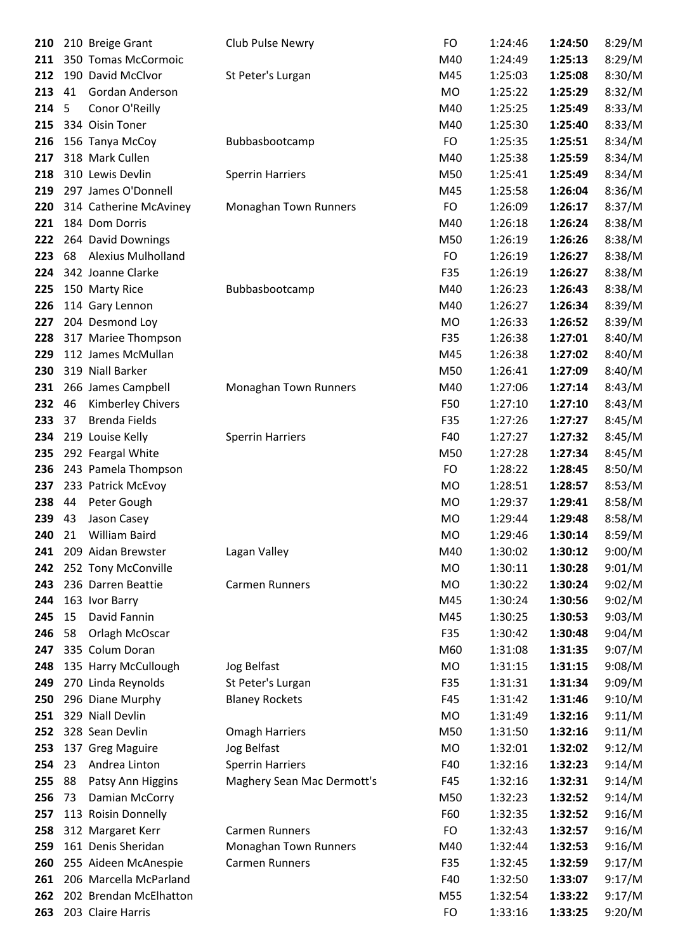| 210 |    | 210 Breige Grant          | Club Pulse Newry           | FO        | 1:24:46 | 1:24:50 | 8:29/M |
|-----|----|---------------------------|----------------------------|-----------|---------|---------|--------|
| 211 |    | 350 Tomas McCormoic       |                            | M40       | 1:24:49 | 1:25:13 | 8:29/M |
| 212 |    | 190 David McClvor         | St Peter's Lurgan          | M45       | 1:25:03 | 1:25:08 | 8:30/M |
| 213 | 41 | Gordan Anderson           |                            | MO        | 1:25:22 | 1:25:29 | 8:32/M |
| 214 | 5  | Conor O'Reilly            |                            | M40       | 1:25:25 | 1:25:49 | 8:33/M |
| 215 |    | 334 Oisin Toner           |                            | M40       | 1:25:30 | 1:25:40 | 8:33/M |
| 216 |    | 156 Tanya McCoy           | Bubbasbootcamp             | FO        | 1:25:35 | 1:25:51 | 8:34/M |
| 217 |    | 318 Mark Cullen           |                            | M40       | 1:25:38 | 1:25:59 | 8:34/M |
| 218 |    | 310 Lewis Devlin          | <b>Sperrin Harriers</b>    | M50       | 1:25:41 | 1:25:49 | 8:34/M |
| 219 |    | 297 James O'Donnell       |                            | M45       | 1:25:58 | 1:26:04 | 8:36/M |
| 220 |    | 314 Catherine McAviney    | Monaghan Town Runners      | FO        | 1:26:09 | 1:26:17 | 8:37/M |
| 221 |    | 184 Dom Dorris            |                            | M40       | 1:26:18 | 1:26:24 | 8:38/M |
| 222 |    | 264 David Downings        |                            | M50       | 1:26:19 | 1:26:26 | 8:38/M |
| 223 | 68 | <b>Alexius Mulholland</b> |                            | FO        | 1:26:19 | 1:26:27 | 8:38/M |
| 224 |    | 342 Joanne Clarke         |                            | F35       | 1:26:19 | 1:26:27 | 8:38/M |
| 225 |    | 150 Marty Rice            | Bubbasbootcamp             | M40       | 1:26:23 | 1:26:43 | 8:38/M |
| 226 |    | 114 Gary Lennon           |                            | M40       | 1:26:27 | 1:26:34 | 8:39/M |
| 227 |    | 204 Desmond Loy           |                            | MO        | 1:26:33 | 1:26:52 | 8:39/M |
| 228 |    | 317 Mariee Thompson       |                            | F35       | 1:26:38 | 1:27:01 | 8:40/M |
| 229 |    | 112 James McMullan        |                            | M45       | 1:26:38 | 1:27:02 | 8:40/M |
| 230 |    | 319 Niall Barker          |                            | M50       | 1:26:41 | 1:27:09 | 8:40/M |
| 231 |    | 266 James Campbell        | Monaghan Town Runners      | M40       | 1:27:06 | 1:27:14 | 8:43/M |
| 232 | 46 | <b>Kimberley Chivers</b>  |                            | F50       | 1:27:10 | 1:27:10 | 8:43/M |
| 233 | 37 | <b>Brenda Fields</b>      |                            | F35       | 1:27:26 | 1:27:27 | 8:45/M |
| 234 |    | 219 Louise Kelly          | <b>Sperrin Harriers</b>    | F40       | 1:27:27 | 1:27:32 | 8:45/M |
| 235 |    | 292 Feargal White         |                            | M50       | 1:27:28 | 1:27:34 | 8:45/M |
| 236 |    | 243 Pamela Thompson       |                            | FO        | 1:28:22 | 1:28:45 | 8:50/M |
| 237 |    | 233 Patrick McEvoy        |                            | MO        | 1:28:51 | 1:28:57 | 8:53/M |
| 238 | 44 | Peter Gough               |                            | MO        | 1:29:37 | 1:29:41 | 8:58/M |
| 239 | 43 | Jason Casey               |                            | <b>MO</b> | 1:29:44 | 1:29:48 | 8:58/M |
| 240 | 21 | William Baird             |                            | <b>MO</b> | 1:29:46 | 1:30:14 | 8:59/M |
| 241 |    | 209 Aidan Brewster        | Lagan Valley               | M40       | 1:30:02 | 1:30:12 | 9:00/M |
| 242 |    | 252 Tony McConville       |                            | <b>MO</b> | 1:30:11 | 1:30:28 | 9:01/M |
| 243 |    | 236 Darren Beattie        | <b>Carmen Runners</b>      | MO        | 1:30:22 | 1:30:24 | 9:02/M |
| 244 |    | 163 Ivor Barry            |                            | M45       | 1:30:24 | 1:30:56 | 9:02/M |
| 245 | 15 | David Fannin              |                            | M45       | 1:30:25 | 1:30:53 | 9:03/M |
| 246 | 58 | Orlagh McOscar            |                            | F35       | 1:30:42 | 1:30:48 | 9:04/M |
| 247 |    | 335 Colum Doran           |                            | M60       | 1:31:08 | 1:31:35 | 9:07/M |
| 248 |    | 135 Harry McCullough      | Jog Belfast                | MO        | 1:31:15 | 1:31:15 | 9:08/M |
| 249 |    | 270 Linda Reynolds        | St Peter's Lurgan          | F35       | 1:31:31 | 1:31:34 | 9:09/M |
| 250 |    | 296 Diane Murphy          | <b>Blaney Rockets</b>      | F45       | 1:31:42 | 1:31:46 | 9:10/M |
| 251 |    | 329 Niall Devlin          |                            | MO        | 1:31:49 | 1:32:16 | 9:11/M |
| 252 |    | 328 Sean Devlin           | <b>Omagh Harriers</b>      | M50       | 1:31:50 | 1:32:16 | 9:11/M |
| 253 |    | 137 Greg Maguire          | Jog Belfast                | MO        | 1:32:01 | 1:32:02 | 9:12/M |
| 254 | 23 | Andrea Linton             | <b>Sperrin Harriers</b>    | F40       | 1:32:16 | 1:32:23 | 9:14/M |
| 255 | 88 | Patsy Ann Higgins         | Maghery Sean Mac Dermott's | F45       | 1:32:16 | 1:32:31 | 9:14/M |
| 256 | 73 | Damian McCorry            |                            | M50       | 1:32:23 | 1:32:52 | 9:14/M |
| 257 |    | 113 Roisin Donnelly       |                            | F60       | 1:32:35 | 1:32:52 | 9:16/M |
| 258 |    | 312 Margaret Kerr         | <b>Carmen Runners</b>      | FO        | 1:32:43 | 1:32:57 | 9:16/M |
| 259 |    | 161 Denis Sheridan        | Monaghan Town Runners      | M40       | 1:32:44 | 1:32:53 | 9:16/M |
| 260 |    | 255 Aideen McAnespie      | <b>Carmen Runners</b>      | F35       | 1:32:45 | 1:32:59 | 9:17/M |
| 261 |    | 206 Marcella McParland    |                            | F40       | 1:32:50 | 1:33:07 | 9:17/M |
| 262 |    | 202 Brendan McElhatton    |                            | M55       | 1:32:54 | 1:33:22 | 9:17/M |
| 263 |    | 203 Claire Harris         |                            | <b>FO</b> | 1:33:16 | 1:33:25 | 9:20/M |